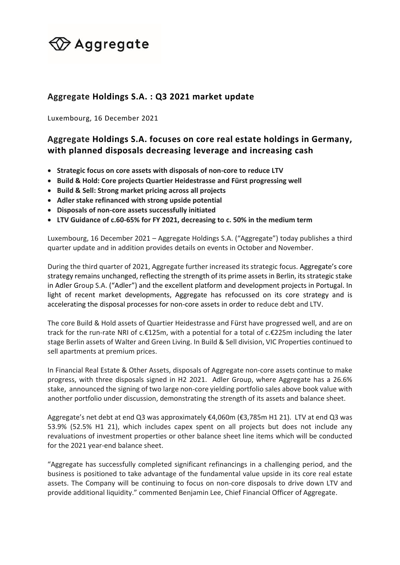# $\bigcirc \hspace{-4.5mm} \mathsf{Aggregate}$

# **Aggregate Holdings S.A. : Q3 2021 [market](https://www.consus.ag/consus-real-estate-ag-full-year-results-2018?lang=en) update**

Luxembourg, 16 December 2021

# **Aggregate Holdings S.A. focuses on core real estate holdings in Germany, with planned disposals decreasing leverage and increasing cash**

- **Strategic focus on core assets with disposals of non-core to reduce LTV**
- **Build & Hold: Core projects Quartier Heidestrasse and Fürst progressing well**
- **Build & Sell: Strong market pricing across all projects**
- **Adler stake refinanced with strong upside potential**
- **Disposals of non-core assets successfully initiated**
- **LTV Guidance of c.60-65% for FY 2021, decreasing to c. 50% in the medium term**

Luxembourg, 16 December 2021 – Aggregate Holdings S.A. ("Aggregate") today publishes a third quarter update and in addition provides details on events in October and November.

During the third quarter of 2021, Aggregate further increased its strategic focus. Aggregate's core strategy remains unchanged, reflecting the strength of its prime assets in Berlin, its strategic stake in Adler Group S.A. ("Adler") and the excellent platform and development projects in Portugal. In light of recent market developments, Aggregate has refocussed on its core strategy and is accelerating the disposal processes for non-core assets in order to reduce debt and LTV.

The core Build & Hold assets of Quartier Heidestrasse and Fürst have progressed well, and are on track for the run-rate NRI of c.€125m, with a potential for a total of c.€225m including the later stage Berlin assets of Walter and Green Living. In Build & Sell division, VIC Properties continued to sell apartments at premium prices.

In Financial Real Estate & Other Assets, disposals of Aggregate non-core assets continue to make progress, with three disposals signed in H2 2021. Adler Group, where Aggregate has a 26.6% stake, announced the signing of two large non-core yielding portfolio sales above book value with another portfolio under discussion, demonstrating the strength of its assets and balance sheet.

Aggregate's net debt at end Q3 was approximately €4,060m (€3,785m H1 21). LTV at end Q3 was 53.9% (52.5% H1 21), which includes capex spent on all projects but does not include any revaluations of investment properties or other balance sheet line items which will be conducted for the 2021 year-end balance sheet.

"Aggregate has successfully completed significant refinancings in a challenging period, and the business is positioned to take advantage of the fundamental value upside in its core real estate assets. The Company will be continuing to focus on non-core disposals to drive down LTV and provide additional liquidity." commented Benjamin Lee, Chief Financial Officer of Aggregate.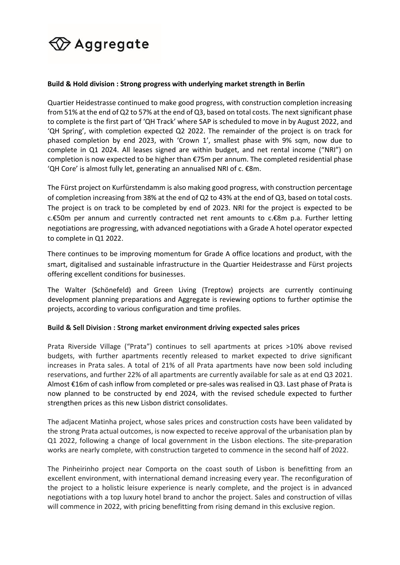

## **Build & Hold division : Strong progress with underlying market strength in Berlin**

Quartier Heidestrasse continued to make good progress, with construction completion increasing from 51% at the end of Q2 to 57% at the end of Q3, based on total costs. The next significant phase to complete is the first part of 'QH Track' where SAP is scheduled to move in by August 2022, and 'QH Spring', with completion expected Q2 2022. The remainder of the project is on track for phased completion by end 2023, with 'Crown 1', smallest phase with 9% sqm, now due to complete in Q1 2024. All leases signed are within budget, and net rental income ("NRI") on completion is now expected to be higher than €75m per annum. The completed residential phase 'QH Core' is almost fully let, generating an annualised NRI of c. €8m.

The Fürst project on Kurfürstendamm is also making good progress, with construction percentage of completion increasing from 38% at the end of Q2 to 43% at the end of Q3, based on total costs. The project is on track to be completed by end of 2023. NRI for the project is expected to be c.€50m per annum and currently contracted net rent amounts to c.€8m p.a. Further letting negotiations are progressing, with advanced negotiations with a Grade A hotel operator expected to complete in Q1 2022.

There continues to be improving momentum for Grade A office locations and product, with the smart, digitalised and sustainable infrastructure in the Quartier Heidestrasse and Fürst projects offering excellent conditions for businesses.

The Walter (Schönefeld) and Green Living (Treptow) projects are currently continuing development planning preparations and Aggregate is reviewing options to further optimise the projects, according to various configuration and time profiles.

### **Build & Sell Division : Strong market environment driving expected sales prices**

Prata Riverside Village ("Prata") continues to sell apartments at prices >10% above revised budgets, with further apartments recently released to market expected to drive significant increases in Prata sales. A total of 21% of all Prata apartments have now been sold including reservations, and further 22% of all apartments are currently available for sale as at end Q3 2021. Almost €16m of cash inflow from completed or pre-sales was realised in Q3. Last phase of Prata is now planned to be constructed by end 2024, with the revised schedule expected to further strengthen prices as this new Lisbon district consolidates.

The adjacent Matinha project, whose sales prices and construction costs have been validated by the strong Prata actual outcomes, is now expected to receive approval of the urbanisation plan by Q1 2022, following a change of local government in the Lisbon elections. The site-preparation works are nearly complete, with construction targeted to commence in the second half of 2022.

The Pinheirinho project near Comporta on the coast south of Lisbon is benefitting from an excellent environment, with international demand increasing every year. The reconfiguration of the project to a holistic leisure experience is nearly complete, and the project is in advanced negotiations with a top luxury hotel brand to anchor the project. Sales and construction of villas will commence in 2022, with pricing benefitting from rising demand in this exclusive region.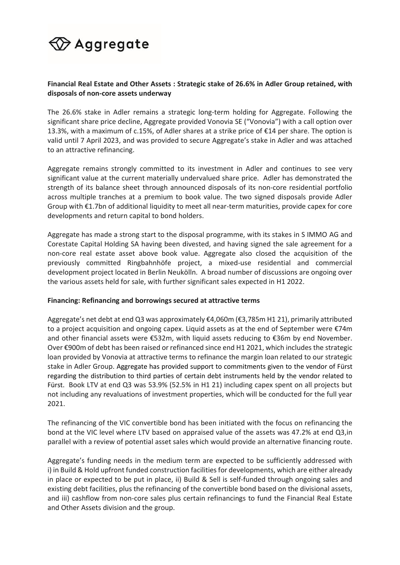# $\bigcirc \hspace{-4.5mm} \mathsf{Aggregate}$

# **Financial Real Estate and Other Assets : Strategic stake of 26.6% in Adler Group retained, with disposals of non-core assets underway**

The 26.6% stake in Adler remains a strategic long-term holding for Aggregate. Following the significant share price decline, Aggregate provided Vonovia SE ("Vonovia") with a call option over 13.3%, with a maximum of c.15%, of Adler shares at a strike price of €14 per share. The option is valid until 7 April 2023, and was provided to secure Aggregate's stake in Adler and was attached to an attractive refinancing.

Aggregate remains strongly committed to its investment in Adler and continues to see very significant value at the current materially undervalued share price. Adler has demonstrated the strength of its balance sheet through announced disposals of its non-core residential portfolio across multiple tranches at a premium to book value. The two signed disposals provide Adler Group with €1.7bn of additional liquidity to meet all near-term maturities, provide capex for core developments and return capital to bond holders.

Aggregate has made a strong start to the disposal programme, with its stakes in S IMMO AG and Corestate Capital Holding SA having been divested, and having signed the sale agreement for a non-core real estate asset above book value. Aggregate also closed the acquisition of the previously committed Ringbahnhöfe project, a mixed-use residential and commercial development project located in Berlin Neukölln. A broad number of discussions are ongoing over the various assets held for sale, with further significant sales expected in H1 2022.

### **Financing: Refinancing and borrowings secured at attractive terms**

Aggregate's net debt at end Q3 was approximately €4,060m (€3,785m H1 21), primarily attributed to a project acquisition and ongoing capex. Liquid assets as at the end of September were €74m and other financial assets were €532m, with liquid assets reducing to €36m by end November. Over €900m of debt has been raised or refinanced since end H1 2021, which includes the strategic loan provided by Vonovia at attractive terms to refinance the margin loan related to our strategic stake in Adler Group. Aggregate has provided support to commitments given to the vendor of Fürst regarding the distribution to third parties of certain debt instruments held by the vendor related to Fürst. Book LTV at end Q3 was 53.9% (52.5% in H1 21) including capex spent on all projects but not including any revaluations of investment properties, which will be conducted for the full year 2021.

The refinancing of the VIC convertible bond has been initiated with the focus on refinancing the bond at the VIC level where LTV based on appraised value of the assets was 47.2% at end Q3,in parallel with a review of potential asset sales which would provide an alternative financing route.

Aggregate's funding needs in the medium term are expected to be sufficiently addressed with i) in Build & Hold upfront funded construction facilities for developments, which are either already in place or expected to be put in place, ii) Build & Sell is self-funded through ongoing sales and existing debt facilities, plus the refinancing of the convertible bond based on the divisional assets, and iii) cashflow from non-core sales plus certain refinancings to fund the Financial Real Estate and Other Assets division and the group.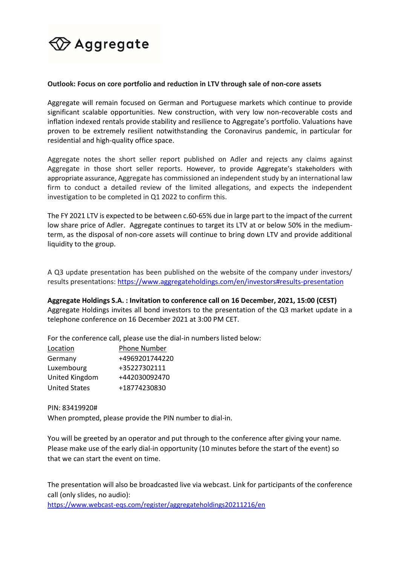

## **Outlook: Focus on core portfolio and reduction in LTV through sale of non-core assets**

Aggregate will remain focused on German and Portuguese markets which continue to provide significant scalable opportunities. New construction, with very low non-recoverable costs and inflation indexed rentals provide stability and resilience to Aggregate's portfolio. Valuations have proven to be extremely resilient notwithstanding the Coronavirus pandemic, in particular for residential and high-quality office space.

Aggregate notes the short seller report published on Adler and rejects any claims against Aggregate in those short seller reports. However, to provide Aggregate's stakeholders with appropriate assurance, Aggregate has commissioned an independent study by an international law firm to conduct a detailed review of the limited allegations, and expects the independent investigation to be completed in Q1 2022 to confirm this.

The FY 2021 LTV is expected to be between c.60-65% due in large part to the impact of the current low share price of Adler. Aggregate continues to target its LTV at or below 50% in the mediumterm, as the disposal of non-core assets will continue to bring down LTV and provide additional liquidity to the group.

A Q3 update presentation has been published on the website of the company under investors/ results presentations: <https://www.aggregateholdings.com/en/investors#results-presentation>

**Aggregate Holdings S.A. : Invitation to conference call on 16 December, 2021, 15:00 (CEST)** Aggregate Holdings invites all bond investors to the presentation of the Q3 market update in a telephone conference on 16 December 2021 at 3:00 PM CET.

For the conference call, please use the dial-in numbers listed below:

| Location             | Phone Number   |
|----------------------|----------------|
| Germany              | +4969201744220 |
| Luxembourg           | +35227302111   |
| United Kingdom       | +442030092470  |
| <b>United States</b> | +18774230830   |

PIN: 83419920#

When prompted, please provide the PIN number to dial-in.

You will be greeted by an operator and put through to the conference after giving your name. Please make use of the early dial-in opportunity (10 minutes before the start of the event) so that we can start the event on time.

The presentation will also be broadcasted live via webcast. Link for participants of the conference call (only slides, no audio):

<https://www.webcast-eqs.com/register/aggregateholdings20211216/en>